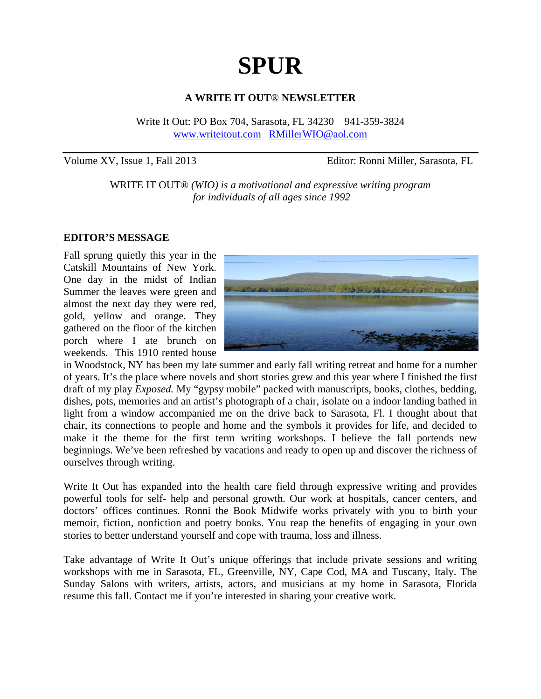# **SPUR**

#### **A WRITE IT OUT**® **NEWSLETTER**

Write It Out: PO Box 704, Sarasota, FL 34230 941-359-3824 www.writeitout.com RMillerWIO@aol.com

Volume XV, Issue 1, Fall 2013 Editor: Ronni Miller, Sarasota, FL

WRITE IT OUT® *(WIO) is a motivational and expressive writing program for individuals of all ages since 1992* 

#### **EDITOR'S MESSAGE**

Fall sprung quietly this year in the Catskill Mountains of New York. One day in the midst of Indian Summer the leaves were green and almost the next day they were red, gold, yellow and orange. They gathered on the floor of the kitchen porch where I ate brunch on weekends. This 1910 rented house



in Woodstock, NY has been my late summer and early fall writing retreat and home for a number of years. It's the place where novels and short stories grew and this year where I finished the first draft of my play *Exposed.* My "gypsy mobile" packed with manuscripts, books, clothes, bedding, dishes, pots, memories and an artist's photograph of a chair, isolate on a indoor landing bathed in light from a window accompanied me on the drive back to Sarasota, Fl. I thought about that chair, its connections to people and home and the symbols it provides for life, and decided to make it the theme for the first term writing workshops. I believe the fall portends new beginnings. We've been refreshed by vacations and ready to open up and discover the richness of ourselves through writing.

Write It Out has expanded into the health care field through expressive writing and provides powerful tools for self- help and personal growth. Our work at hospitals, cancer centers, and doctors' offices continues. Ronni the Book Midwife works privately with you to birth your memoir, fiction, nonfiction and poetry books. You reap the benefits of engaging in your own stories to better understand yourself and cope with trauma, loss and illness.

Take advantage of Write It Out's unique offerings that include private sessions and writing workshops with me in Sarasota, FL, Greenville, NY, Cape Cod, MA and Tuscany, Italy. The Sunday Salons with writers, artists, actors, and musicians at my home in Sarasota, Florida resume this fall. Contact me if you're interested in sharing your creative work.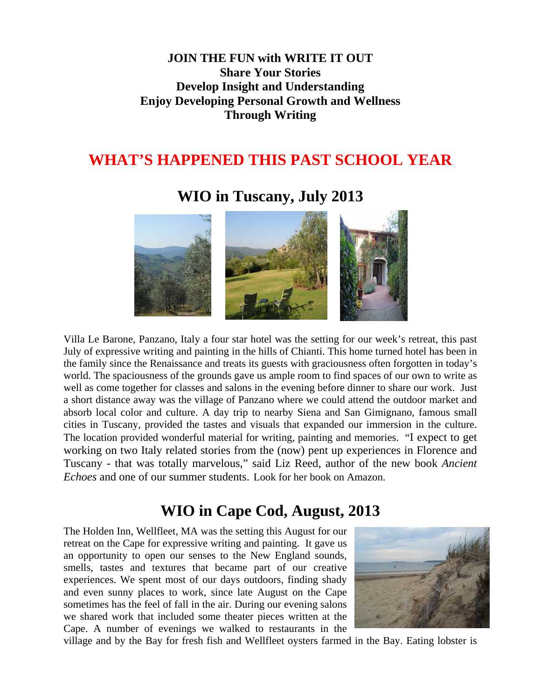### **JOIN THE FUN with WRITE IT OUT Share Your Stories Develop Insight and Understanding Enjoy Developing Personal Growth and Wellness Through Writing**

### **WHAT'S HAPPENED THIS PAST SCHOOL YEAR**

### **WIO in Tuscany, July 2013**



Villa Le Barone, Panzano, Italy a four star hotel was the setting for our week's retreat, this past July of expressive writing and painting in the hills of Chianti. This home turned hotel has been in the family since the Renaissance and treats its guests with graciousness often forgotten in today's world. The spaciousness of the grounds gave us ample room to find spaces of our own to write as well as come together for classes and salons in the evening before dinner to share our work. Just a short distance away was the village of Panzano where we could attend the outdoor market and absorb local color and culture. A day trip to nearby Siena and San Gimignano, famous small cities in Tuscany, provided the tastes and visuals that expanded our immersion in the culture. The location provided wonderful material for writing, painting and memories. "I expect to get working on two Italy related stories from the (now) pent up experiences in Florence and Tuscany - that was totally marvelous," said Liz Reed, author of the new book *Ancient Echoes* and one of our summer students. Look for her book on Amazon.

# **WIO in Cape Cod, August, 2013**

The Holden Inn, Wellfleet, MA was the setting this August for our retreat on the Cape for expressive writing and painting. It gave us an opportunity to open our senses to the New England sounds, smells, tastes and textures that became part of our creative experiences. We spent most of our days outdoors, finding shady and even sunny places to work, since late August on the Cape sometimes has the feel of fall in the air. During our evening salons we shared work that included some theater pieces written at the Cape. A number of evenings we walked to restaurants in the



village and by the Bay for fresh fish and Wellfleet oysters farmed in the Bay. Eating lobster is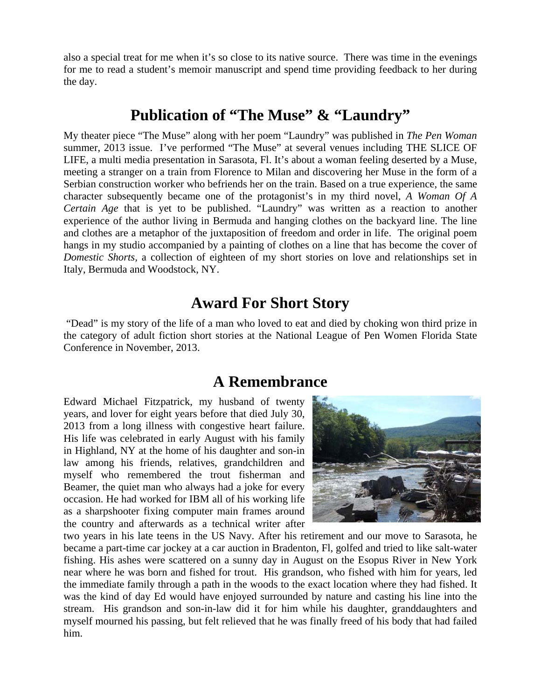also a special treat for me when it's so close to its native source. There was time in the evenings for me to read a student's memoir manuscript and spend time providing feedback to her during the day.

### **Publication of "The Muse" & "Laundry"**

My theater piece "The Muse" along with her poem "Laundry" was published in *The Pen Woman*  summer, 2013 issue. I've performed "The Muse" at several venues including THE SLICE OF LIFE, a multi media presentation in Sarasota, Fl. It's about a woman feeling deserted by a Muse, meeting a stranger on a train from Florence to Milan and discovering her Muse in the form of a Serbian construction worker who befriends her on the train. Based on a true experience, the same character subsequently became one of the protagonist's in my third novel, *A Woman Of A Certain Age* that is yet to be published. "Laundry" was written as a reaction to another experience of the author living in Bermuda and hanging clothes on the backyard line. The line and clothes are a metaphor of the juxtaposition of freedom and order in life. The original poem hangs in my studio accompanied by a painting of clothes on a line that has become the cover of *Domestic Shorts,* a collection of eighteen of my short stories on love and relationships set in Italy, Bermuda and Woodstock, NY.

### **Award For Short Story**

 "Dead" is my story of the life of a man who loved to eat and died by choking won third prize in the category of adult fiction short stories at the National League of Pen Women Florida State Conference in November, 2013.

### **A Remembrance**

Edward Michael Fitzpatrick, my husband of twenty years, and lover for eight years before that died July 30, 2013 from a long illness with congestive heart failure. His life was celebrated in early August with his family in Highland, NY at the home of his daughter and son-in law among his friends, relatives, grandchildren and myself who remembered the trout fisherman and Beamer, the quiet man who always had a joke for every occasion. He had worked for IBM all of his working life as a sharpshooter fixing computer main frames around the country and afterwards as a technical writer after



two years in his late teens in the US Navy. After his retirement and our move to Sarasota, he became a part-time car jockey at a car auction in Bradenton, Fl, golfed and tried to like salt-water fishing. His ashes were scattered on a sunny day in August on the Esopus River in New York near where he was born and fished for trout. His grandson, who fished with him for years, led the immediate family through a path in the woods to the exact location where they had fished. It was the kind of day Ed would have enjoyed surrounded by nature and casting his line into the stream. His grandson and son-in-law did it for him while his daughter, granddaughters and myself mourned his passing, but felt relieved that he was finally freed of his body that had failed him.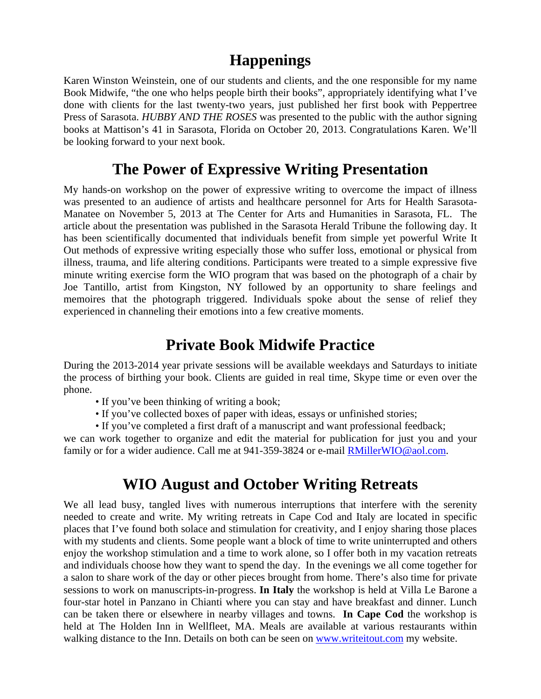### **Happenings**

Karen Winston Weinstein, one of our students and clients, and the one responsible for my name Book Midwife, "the one who helps people birth their books", appropriately identifying what I've done with clients for the last twenty-two years, just published her first book with Peppertree Press of Sarasota. *HUBBY AND THE ROSES* was presented to the public with the author signing books at Mattison's 41 in Sarasota, Florida on October 20, 2013. Congratulations Karen. We'll be looking forward to your next book.

### **The Power of Expressive Writing Presentation**

My hands-on workshop on the power of expressive writing to overcome the impact of illness was presented to an audience of artists and healthcare personnel for Arts for Health Sarasota-Manatee on November 5, 2013 at The Center for Arts and Humanities in Sarasota, FL. The article about the presentation was published in the Sarasota Herald Tribune the following day. It has been scientifically documented that individuals benefit from simple yet powerful Write It Out methods of expressive writing especially those who suffer loss, emotional or physical from illness, trauma, and life altering conditions. Participants were treated to a simple expressive five minute writing exercise form the WIO program that was based on the photograph of a chair by Joe Tantillo, artist from Kingston, NY followed by an opportunity to share feelings and memoires that the photograph triggered. Individuals spoke about the sense of relief they experienced in channeling their emotions into a few creative moments.

### **Private Book Midwife Practice**

During the 2013-2014 year private sessions will be available weekdays and Saturdays to initiate the process of birthing your book. Clients are guided in real time, Skype time or even over the phone.

- If you've been thinking of writing a book;
- If you've collected boxes of paper with ideas, essays or unfinished stories;
- If you've completed a first draft of a manuscript and want professional feedback;

we can work together to organize and edit the material for publication for just you and your family or for a wider audience. Call me at 941-359-3824 or e-mail **RMillerWIO@aol.com.** 

# **WIO August and October Writing Retreats**

We all lead busy, tangled lives with numerous interruptions that interfere with the serenity needed to create and write. My writing retreats in Cape Cod and Italy are located in specific places that I've found both solace and stimulation for creativity, and I enjoy sharing those places with my students and clients. Some people want a block of time to write uninterrupted and others enjoy the workshop stimulation and a time to work alone, so I offer both in my vacation retreats and individuals choose how they want to spend the day. In the evenings we all come together for a salon to share work of the day or other pieces brought from home. There's also time for private sessions to work on manuscripts-in-progress. **In Italy** the workshop is held at Villa Le Barone a four-star hotel in Panzano in Chianti where you can stay and have breakfast and dinner. Lunch can be taken there or elsewhere in nearby villages and towns. **In Cape Cod** the workshop is held at The Holden Inn in Wellfleet, MA. Meals are available at various restaurants within walking distance to the Inn. Details on both can be seen on www.writeitout.com my website.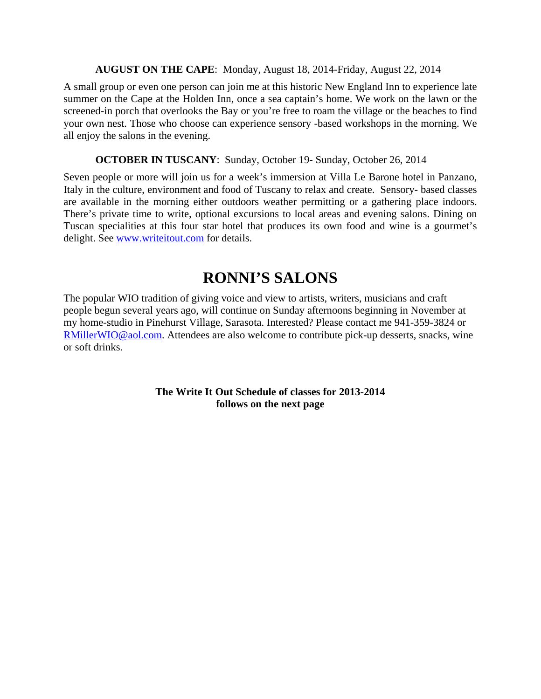#### **AUGUST ON THE CAPE**: Monday, August 18, 2014-Friday, August 22, 2014

A small group or even one person can join me at this historic New England Inn to experience late summer on the Cape at the Holden Inn, once a sea captain's home. We work on the lawn or the screened-in porch that overlooks the Bay or you're free to roam the village or the beaches to find your own nest. Those who choose can experience sensory -based workshops in the morning. We all enjoy the salons in the evening.

#### **OCTOBER IN TUSCANY**: Sunday, October 19- Sunday, October 26, 2014

Seven people or more will join us for a week's immersion at Villa Le Barone hotel in Panzano, Italy in the culture, environment and food of Tuscany to relax and create. Sensory- based classes are available in the morning either outdoors weather permitting or a gathering place indoors. There's private time to write, optional excursions to local areas and evening salons. Dining on Tuscan specialities at this four star hotel that produces its own food and wine is a gourmet's delight. See www.writeitout.com for details.

# **RONNI'S SALONS**

The popular WIO tradition of giving voice and view to artists, writers, musicians and craft people begun several years ago, will continue on Sunday afternoons beginning in November at my home-studio in Pinehurst Village, Sarasota. Interested? Please contact me 941-359-3824 or RMillerWIO@aol.com. Attendees are also welcome to contribute pick-up desserts, snacks, wine or soft drinks.

> **The Write It Out Schedule of classes for 2013-2014 follows on the next page**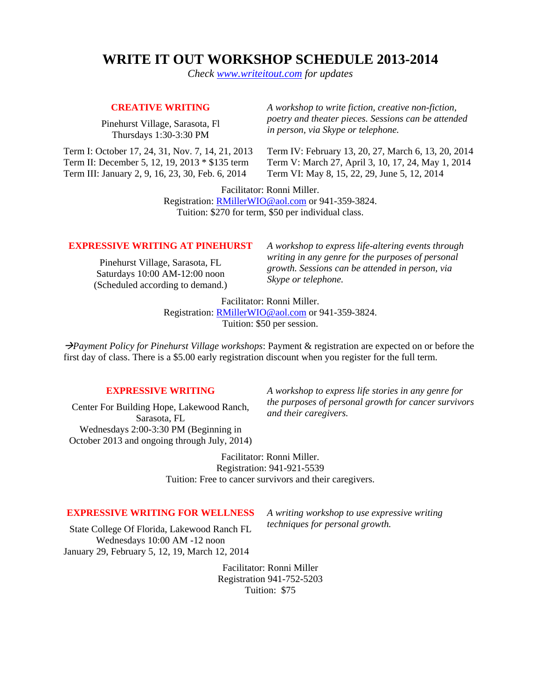### **WRITE IT OUT WORKSHOP SCHEDULE 2013-2014**

*Check www.writeitout.com for updates* 

#### **CREATIVE WRITING**

Pinehurst Village, Sarasota, Fl Thursdays 1:30-3:30 PM

Term I: October 17, 24, 31, Nov. 7, 14, 21, 2013 Term II: December 5, 12, 19, 2013 \* \$135 term Term III: January 2, 9, 16, 23, 30, Feb. 6, 2014

*A workshop to write fiction, creative non-fiction, poetry and theater pieces. Sessions can be attended in person, via Skype or telephone.* 

Term IV: February 13, 20, 27, March 6, 13, 20, 2014 Term V: March 27, April 3, 10, 17, 24, May 1, 2014 Term VI: May 8, 15, 22, 29, June 5, 12, 2014

Facilitator: Ronni Miller. Registration: RMillerWIO@aol.com or 941-359-3824. Tuition: \$270 for term, \$50 per individual class.

#### **EXPRESSIVE WRITING AT PINEHURST**

Pinehurst Village, Sarasota, FL Saturdays 10:00 AM-12:00 noon (Scheduled according to demand.) *A workshop to express life-altering events through writing in any genre for the purposes of personal growth. Sessions can be attended in person, via Skype or telephone.* 

Facilitator: Ronni Miller.

Registration: RMillerWIO@aol.com or 941-359-3824. Tuition: \$50 per session.

Æ*Payment Policy for Pinehurst Village workshops*: Payment & registration are expected on or before the first day of class. There is a \$5.00 early registration discount when you register for the full term.

#### **EXPRESSIVE WRITING**

Center For Building Hope, Lakewood Ranch, Sarasota, FL Wednesdays 2:00-3:30 PM (Beginning in October 2013 and ongoing through July, 2014) *A workshop to express life stories in any genre for the purposes of personal growth for cancer survivors and their caregivers.* 

Facilitator: Ronni Miller. Registration: 941-921-5539 Tuition: Free to cancer survivors and their caregivers.

#### **EXPRESSIVE WRITING FOR WELLNESS**

State College Of Florida, Lakewood Ranch FL Wednesdays 10:00 AM -12 noon January 29, February 5, 12, 19, March 12, 2014

*A writing workshop to use expressive writing techniques for personal growth.* 

Facilitator: Ronni Miller Registration 941-752-5203 Tuition: \$75